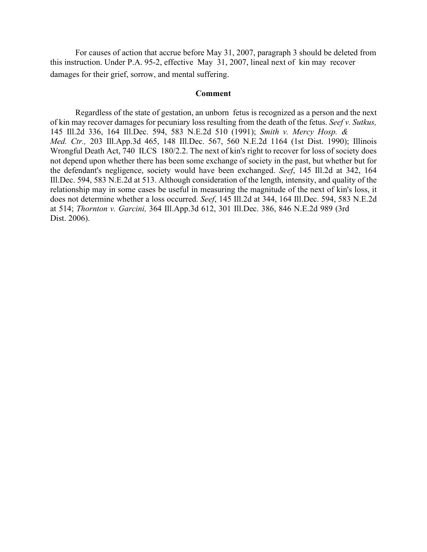For causes of action that accrue before May 31, 2007, paragraph 3 should be deleted from this instruction. Under P.A. 95-2, effective May 31, 2007, lineal next of kin may recover damages for their grief, sorrow, and mental suffering.

#### **Comment**

Regardless of the state of gestation, an unborn fetus is recognized as a person and the next of kin may recover damages for pecuniary loss resulting from the death of the fetus. *Seef v. Sutkus,*  145 Ill.2d 336, 164 Ill.Dec. 594, 583 N.E.2d 510 (1991); *Smith v. Mercy Hosp. & Med. Ctr.,* 203 Ill.App.3d 465, 148 Ill.Dec. 567, 560 N.E.2d 1164 (1st Dist. 1990); Illinois Wrongful Death Act, 740 ILCS 180/2.2. The next of kin's right to recover for loss of society does not depend upon whether there has been some exchange of society in the past, but whether but for the defendant's negligence, society would have been exchanged. *Seef*, 145 Ill.2d at 342, 164 Ill.Dec. 594, 583 N.E.2d at 513. Although consideration of the length, intensity, and quality of the relationship may in some cases be useful in measuring the magnitude of the next of kin's loss, it does not determine whether a loss occurred. *Seef*, 145 Ill.2d at 344, 164 Ill.Dec. 594, 583 N.E.2d at 514; *Thornton v. Garcini,* 364 Ill.App.3d 612, 301 Ill.Dec. 386, 846 N.E.2d 989 (3rd Dist. 2006).

\_\_\_\_\_\_\_\_\_\_\_\_\_\_\_\_\_\_\_\_\_\_\_\_\_\_\_\_\_\_\_\_\_\_\_\_\_\_\_\_\_\_\_\_\_\_\_\_\_\_\_\_\_\_\_\_\_\_\_\_\_\_\_\_\_\_\_\_\_\_\_\_\_\_\_\_\_\_\_\_\_\_\_\_\_\_\_\_\_\_\_\_\_\_\_\_\_\_\_\_\_\_\_\_\_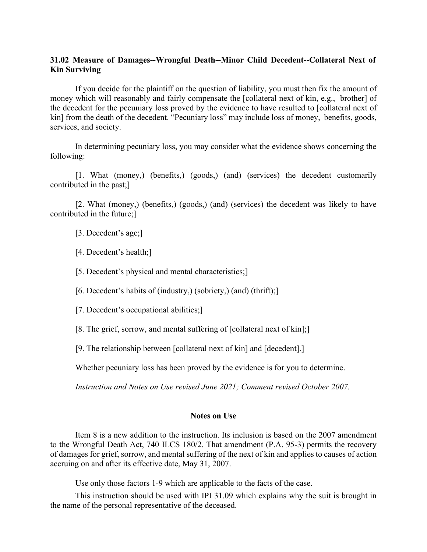# **31.02 Measure of Damages--Wrongful Death--Minor Child Decedent--Collateral Next of Kin Surviving**

If you decide for the plaintiff on the question of liability, you must then fix the amount of money which will reasonably and fairly compensate the [collateral next of kin, e.g., brother] of the decedent for the pecuniary loss proved by the evidence to have resulted to [collateral next of kin] from the death of the decedent. "Pecuniary loss" may include loss of money, benefits, goods, services, and society.

In determining pecuniary loss, you may consider what the evidence shows concerning the following:

[1. What (money,) (benefits,) (goods,) (and) (services) the decedent customarily contributed in the past;]

[2. What (money,) (benefits,) (goods,) (and) (services) the decedent was likely to have contributed in the future;]

[3. Decedent's age;]

[4. Decedent's health;]

[5. Decedent's physical and mental characteristics;]

[6. Decedent's habits of (industry,) (sobriety,) (and) (thrift);]

[7. Decedent's occupational abilities;]

[8. The grief, sorrow, and mental suffering of [collateral next of kin];]

[9. The relationship between [collateral next of kin] and [decedent].]

Whether pecuniary loss has been proved by the evidence is for you to determine.

*Instruction and Notes on Use revised June 2021; Comment revised October 2007.* 

### **Notes on Use**

Item 8 is a new addition to the instruction. Its inclusion is based on the 2007 amendment to the Wrongful Death Act, 740 ILCS 180/2. That amendment (P.A. 95-3) permits the recovery of damages for grief, sorrow, and mental suffering of the next of kin and applies to causes of action accruing on and after its effective date, May 31, 2007.

Use only those factors 1-9 which are applicable to the facts of the case.

This instruction should be used with IPI 31.09 which explains why the suit is brought in the name of the personal representative of the deceased.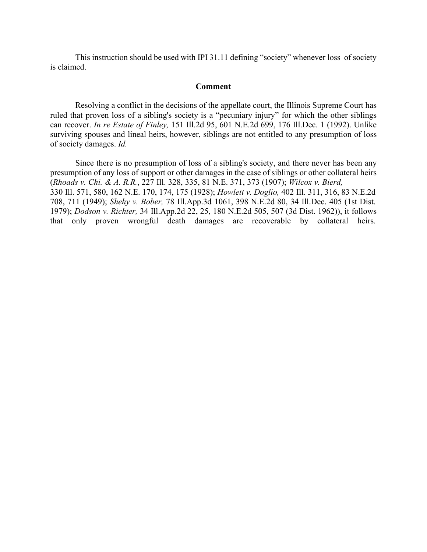This instruction should be used with IPI 31.11 defining "society" whenever loss of society is claimed.

### **Comment**

Resolving a conflict in the decisions of the appellate court, the Illinois Supreme Court has ruled that proven loss of a sibling's society is a "pecuniary injury" for which the other siblings can recover. *In re Estate of Finley,* 151 Ill.2d 95, 601 N.E.2d 699, 176 Ill.Dec. 1 (1992). Unlike surviving spouses and lineal heirs, however, siblings are not entitled to any presumption of loss of society damages. *Id.*

Since there is no presumption of loss of a sibling's society, and there never has been any presumption of any loss of support or other damages in the case of siblings or other collateral heirs (*Rhoads v. Chi. & A. R.R.*, 227 Ill. 328, 335, 81 N.E. 371, 373 (1907); *Wilcox v. Bierd,* 330 Ill. 571, 580, 162 N.E. 170, 174, 175 (1928); *Howlett v. Doglio,* 402 Ill. 311, 316, 83 N.E.2d 708, 711 (1949); *Shehy v. Bober,* 78 Ill.App.3d 1061, 398 N.E.2d 80, 34 Ill.Dec. 405 (1st Dist. 1979); *Dodson v. Richter,* 34 Ill.App.2d 22, 25, 180 N.E.2d 505, 507 (3d Dist. 1962)), it follows that only proven wrongful death damages are recoverable by collateral heirs.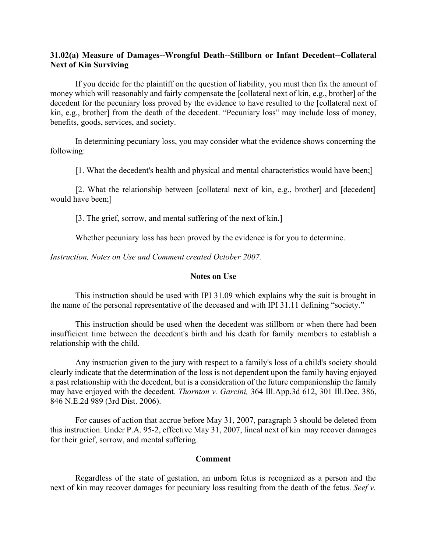# **31.02(a) Measure of Damages--Wrongful Death--Stillborn or Infant Decedent--Collateral Next of Kin Surviving**

If you decide for the plaintiff on the question of liability, you must then fix the amount of money which will reasonably and fairly compensate the [collateral next of kin, e.g., brother] of the decedent for the pecuniary loss proved by the evidence to have resulted to the [collateral next of kin, e.g., brother] from the death of the decedent. "Pecuniary loss" may include loss of money, benefits, goods, services, and society.

In determining pecuniary loss, you may consider what the evidence shows concerning the following:

[1. What the decedent's health and physical and mental characteristics would have been;]

[2. What the relationship between [collateral next of kin, e.g., brother] and [decedent] would have been;]

[3. The grief, sorrow, and mental suffering of the next of kin.]

Whether pecuniary loss has been proved by the evidence is for you to determine.

*Instruction, Notes on Use and Comment created October 2007.* 

### **Notes on Use**

This instruction should be used with IPI 31.09 which explains why the suit is brought in the name of the personal representative of the deceased and with IPI 31.11 defining "society."

This instruction should be used when the decedent was stillborn or when there had been insufficient time between the decedent's birth and his death for family members to establish a relationship with the child.

Any instruction given to the jury with respect to a family's loss of a child's society should clearly indicate that the determination of the loss is not dependent upon the family having enjoyed a past relationship with the decedent, but is a consideration of the future companionship the family may have enjoyed with the decedent. *Thornton v. Garcini,* 364 Ill.App.3d 612, 301 Ill.Dec. 386, 846 N.E.2d 989 (3rd Dist. 2006).

For causes of action that accrue before May 31, 2007, paragraph 3 should be deleted from this instruction. Under P.A. 95-2, effective May 31, 2007, lineal next of kin may recover damages for their grief, sorrow, and mental suffering.

### **Comment**

Regardless of the state of gestation, an unborn fetus is recognized as a person and the next of kin may recover damages for pecuniary loss resulting from the death of the fetus. *Seef v.*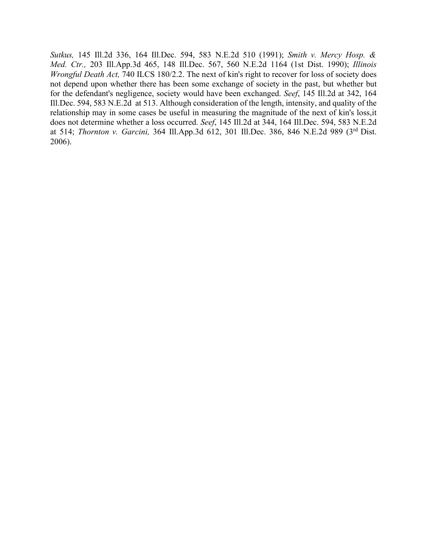*Sutkus,* 145 Ill.2d 336, 164 Ill.Dec. 594, 583 N.E.2d 510 (1991); *Smith v. Mercy Hosp. & Med. Ctr.,* 203 Ill.App.3d 465, 148 Ill.Dec. 567, 560 N.E.2d 1164 (1st Dist. 1990); *Illinois Wrongful Death Act, 740 ILCS 180/2.2. The next of kin's right to recover for loss of society does* not depend upon whether there has been some exchange of society in the past, but whether but for the defendant's negligence, society would have been exchanged. *Seef*, 145 Ill.2d at 342, 164 Ill.Dec. 594, 583 N.E.2d at 513. Although consideration of the length, intensity, and quality of the relationship may in some cases be useful in measuring the magnitude of the next of kin's loss,it does not determine whether a loss occurred. *Seef*, 145 Ill.2d at 344, 164 Ill.Dec. 594, 583 N.E.2d at 514; *Thornton v. Garcini,* 364 Ill.App.3d 612, 301 Ill.Dec. 386, 846 N.E.2d 989 (3rd Dist. 2006).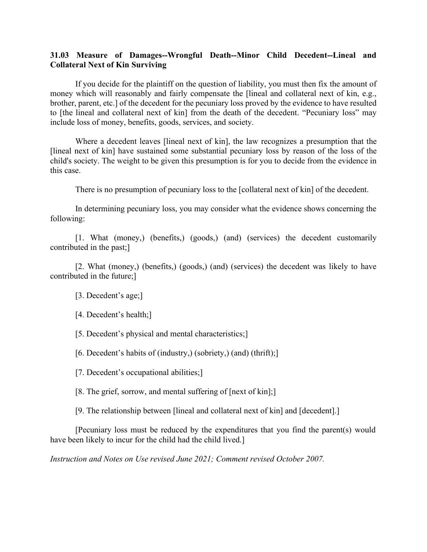# **31.03 Measure of Damages--Wrongful Death--Minor Child Decedent--Lineal and Collateral Next of Kin Surviving**

If you decide for the plaintiff on the question of liability, you must then fix the amount of money which will reasonably and fairly compensate the [lineal and collateral next of kin, e.g., brother, parent, etc.] of the decedent for the pecuniary loss proved by the evidence to have resulted to [the lineal and collateral next of kin] from the death of the decedent. "Pecuniary loss" may include loss of money, benefits, goods, services, and society.

Where a decedent leaves [lineal next of kin], the law recognizes a presumption that the [lineal next of kin] have sustained some substantial pecuniary loss by reason of the loss of the child's society. The weight to be given this presumption is for you to decide from the evidence in this case.

There is no presumption of pecuniary loss to the [collateral next of kin] of the decedent.

In determining pecuniary loss, you may consider what the evidence shows concerning the following:

[1. What (money,) (benefits,) (goods,) (and) (services) the decedent customarily contributed in the past;]

[2. What (money,) (benefits,) (goods,) (and) (services) the decedent was likely to have contributed in the future;]

[3. Decedent's age;]

[4. Decedent's health;]

[5. Decedent's physical and mental characteristics;]

[6. Decedent's habits of (industry,) (sobriety,) (and) (thrift);]

[7. Decedent's occupational abilities;]

[8. The grief, sorrow, and mental suffering of [next of kin];]

[9. The relationship between [lineal and collateral next of kin] and [decedent].]

[Pecuniary loss must be reduced by the expenditures that you find the parent(s) would have been likely to incur for the child had the child lived.

 $\_$  ,  $\_$  ,  $\_$  ,  $\_$  ,  $\_$  ,  $\_$  ,  $\_$  ,  $\_$  ,  $\_$  ,  $\_$  ,  $\_$  ,  $\_$  ,  $\_$  ,  $\_$  ,  $\_$  ,  $\_$  ,  $\_$  ,  $\_$  ,  $\_$  ,  $\_$  ,  $\_$  ,  $\_$  ,  $\_$  ,  $\_$  ,  $\_$  ,  $\_$  ,  $\_$  ,  $\_$  ,  $\_$  ,  $\_$  ,  $\_$  ,  $\_$  ,  $\_$  ,  $\_$  ,  $\_$  ,  $\_$  ,  $\_$  ,

*Instruction and Notes on Use revised June 2021; Comment revised October 2007.*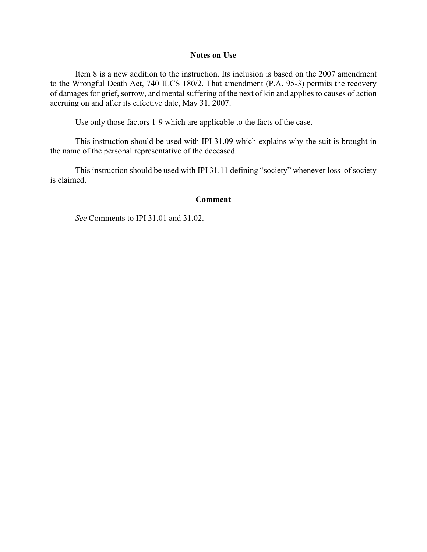### **Notes on Use**

Item 8 is a new addition to the instruction. Its inclusion is based on the 2007 amendment to the Wrongful Death Act, 740 ILCS 180/2. That amendment (P.A. 95-3) permits the recovery of damages for grief, sorrow, and mental suffering of the next of kin and applies to causes of action accruing on and after its effective date, May 31, 2007.

Use only those factors 1-9 which are applicable to the facts of the case.

This instruction should be used with IPI 31.09 which explains why the suit is brought in the name of the personal representative of the deceased.

This instruction should be used with IPI 31.11 defining "society" whenever loss of society is claimed.

### **Comment**

 $\_$  ,  $\_$  ,  $\_$  ,  $\_$  ,  $\_$  ,  $\_$  ,  $\_$  ,  $\_$  ,  $\_$  ,  $\_$  ,  $\_$  ,  $\_$  ,  $\_$  ,  $\_$  ,  $\_$  ,  $\_$  ,  $\_$  ,  $\_$  ,  $\_$  ,  $\_$  ,  $\_$  ,  $\_$  ,  $\_$  ,  $\_$  ,  $\_$  ,  $\_$  ,  $\_$  ,  $\_$  ,  $\_$  ,  $\_$  ,  $\_$  ,  $\_$  ,  $\_$  ,  $\_$  ,  $\_$  ,  $\_$  ,  $\_$  ,

*See* Comments to IPI 31.01 and 31.02.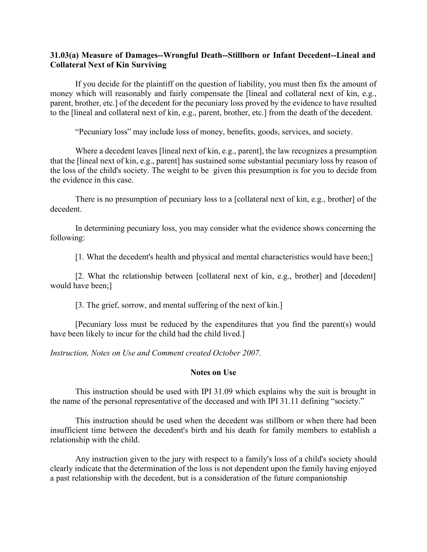# **31.03(a) Measure of Damages--Wrongful Death--Stillborn or Infant Decedent--Lineal and Collateral Next of Kin Surviving**

If you decide for the plaintiff on the question of liability, you must then fix the amount of money which will reasonably and fairly compensate the [lineal and collateral next of kin, e.g., parent, brother, etc.] of the decedent for the pecuniary loss proved by the evidence to have resulted to the [lineal and collateral next of kin, e.g., parent, brother, etc.] from the death of the decedent.

"Pecuniary loss" may include loss of money, benefits, goods, services, and society.

Where a decedent leaves [lineal next of kin, e.g., parent], the law recognizes a presumption that the [lineal next of kin, e.g., parent] has sustained some substantial pecuniary loss by reason of the loss of the child's society. The weight to be given this presumption is for you to decide from the evidence in this case.

There is no presumption of pecuniary loss to a [collateral next of kin, e.g., brother] of the decedent.

In determining pecuniary loss, you may consider what the evidence shows concerning the following:

[1. What the decedent's health and physical and mental characteristics would have been;]

[2. What the relationship between [collateral next of kin, e.g., brother] and [decedent] would have been;]

[3. The grief, sorrow, and mental suffering of the next of kin.]

[Pecuniary loss must be reduced by the expenditures that you find the parent(s) would have been likely to incur for the child had the child lived.]

*Instruction, Notes on Use and Comment created October 2007.* 

### **Notes on Use**

This instruction should be used with IPI 31.09 which explains why the suit is brought in the name of the personal representative of the deceased and with IPI 31.11 defining "society."

This instruction should be used when the decedent was stillborn or when there had been insufficient time between the decedent's birth and his death for family members to establish a relationship with the child.

Any instruction given to the jury with respect to a family's loss of a child's society should clearly indicate that the determination of the loss is not dependent upon the family having enjoyed a past relationship with the decedent, but is a consideration of the future companionship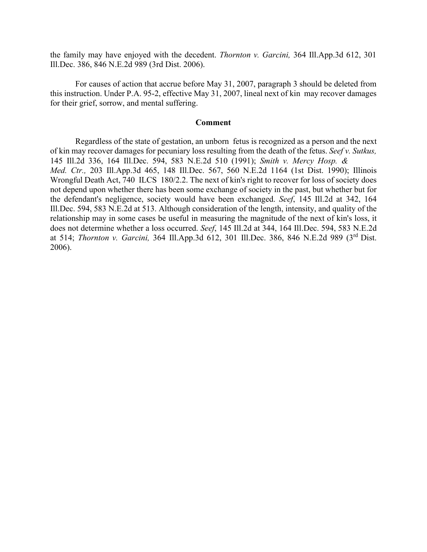the family may have enjoyed with the decedent. *Thornton v. Garcini,* 364 Ill.App.3d 612, 301 Ill.Dec. 386, 846 N.E.2d 989 (3rd Dist. 2006).

For causes of action that accrue before May 31, 2007, paragraph 3 should be deleted from this instruction. Under P.A. 95-2, effective May 31, 2007, lineal next of kin may recover damages for their grief, sorrow, and mental suffering.

### **Comment**

Regardless of the state of gestation, an unborn fetus is recognized as a person and the next of kin may recover damages for pecuniary loss resulting from the death of the fetus. *Seef v. Sutkus,*  145 Ill.2d 336, 164 Ill.Dec. 594, 583 N.E.2d 510 (1991); *Smith v. Mercy Hosp. & Med. Ctr.,* 203 Ill.App.3d 465, 148 Ill.Dec. 567, 560 N.E.2d 1164 (1st Dist. 1990); Illinois Wrongful Death Act, 740 ILCS 180/2.2. The next of kin's right to recover for loss of society does not depend upon whether there has been some exchange of society in the past, but whether but for the defendant's negligence, society would have been exchanged. *Seef*, 145 Ill.2d at 342, 164 Ill.Dec. 594, 583 N.E.2d at 513. Although consideration of the length, intensity, and quality of the relationship may in some cases be useful in measuring the magnitude of the next of kin's loss, it does not determine whether a loss occurred. *Seef*, 145 Ill.2d at 344, 164 Ill.Dec. 594, 583 N.E.2d at 514; *Thornton v. Garcini,* 364 Ill.App.3d 612, 301 Ill.Dec. 386, 846 N.E.2d 989 (3rd Dist. 2006).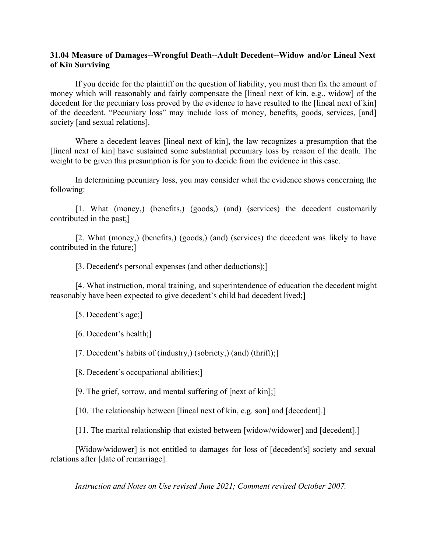# **31.04 Measure of Damages--Wrongful Death--Adult Decedent--Widow and/or Lineal Next of Kin Surviving**

If you decide for the plaintiff on the question of liability, you must then fix the amount of money which will reasonably and fairly compensate the [lineal next of kin, e.g., widow] of the decedent for the pecuniary loss proved by the evidence to have resulted to the [lineal next of kin] of the decedent. "Pecuniary loss" may include loss of money, benefits, goods, services, [and] society [and sexual relations].

Where a decedent leaves [lineal next of kin], the law recognizes a presumption that the [lineal next of kin] have sustained some substantial pecuniary loss by reason of the death. The weight to be given this presumption is for you to decide from the evidence in this case.

In determining pecuniary loss, you may consider what the evidence shows concerning the following:

[1. What (money,) (benefits,) (goods,) (and) (services) the decedent customarily contributed in the past;]

[2. What (money,) (benefits,) (goods,) (and) (services) the decedent was likely to have contributed in the future;]

[3. Decedent's personal expenses (and other deductions);]

[4. What instruction, moral training, and superintendence of education the decedent might reasonably have been expected to give decedent's child had decedent lived;]

[5. Decedent's age;]

[6. Decedent's health;]

[7. Decedent's habits of (industry,) (sobriety,) (and) (thrift);]

[8. Decedent's occupational abilities;]

[9. The grief, sorrow, and mental suffering of [next of kin];]

[10. The relationship between [lineal next of kin, e.g. son] and [decedent].]

[11. The marital relationship that existed between [widow/widower] and [decedent].]

[Widow/widower] is not entitled to damages for loss of [decedent's] society and sexual relations after [date of remarriage].

*Instruction and Notes on Use revised June 2021; Comment revised October 2007.*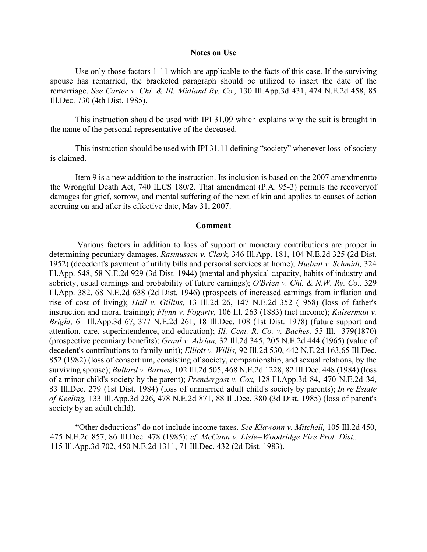#### **Notes on Use**

Use only those factors 1-11 which are applicable to the facts of this case. If the surviving spouse has remarried, the bracketed paragraph should be utilized to insert the date of the remarriage. *See Carter v. Chi. & Ill. Midland Ry. Co.,* 130 Ill.App.3d 431, 474 N.E.2d 458, 85 Ill.Dec. 730 (4th Dist. 1985).

This instruction should be used with IPI 31.09 which explains why the suit is brought in the name of the personal representative of the deceased.

This instruction should be used with IPI 31.11 defining "society" whenever loss of society is claimed.

Item 9 is a new addition to the instruction. Its inclusion is based on the 2007 amendmentto the Wrongful Death Act, 740 ILCS 180/2. That amendment (P.A. 95-3) permits the recoveryof damages for grief, sorrow, and mental suffering of the next of kin and applies to causes of action accruing on and after its effective date, May 31, 2007.

#### **Comment**

Various factors in addition to loss of support or monetary contributions are proper in determining pecuniary damages. *Rasmussen v. Clark,* 346 Ill.App. 181, 104 N.E.2d 325 (2d Dist. 1952) (decedent's payment of utility bills and personal services at home); *Hudnut v. Schmidt,* 324 Ill.App. 548, 58 N.E.2d 929 (3d Dist. 1944) (mental and physical capacity, habits of industry and sobriety, usual earnings and probability of future earnings); *O'Brien v. Chi. & N.W. Ry. Co.,* 329 Ill.App. 382, 68 N.E.2d 638 (2d Dist. 1946) (prospects of increased earnings from inflation and rise of cost of living); *Hall v. Gillins,* 13 Ill.2d 26, 147 N.E.2d 352 (1958) (loss of father's instruction and moral training); *Flynn v. Fogarty,* 106 Ill. 263 (1883) (net income); *Kaiserman v. Bright,* 61 Ill.App.3d 67, 377 N.E.2d 261, 18 Ill.Dec. 108 (1st Dist. 1978) (future support and attention, care, superintendence, and education); *Ill. Cent. R. Co. v. Baches,* 55 Ill. 379 (1870) (prospective pecuniary benefits); *Graul v. Adrian,* 32 Ill.2d 345, 205 N.E.2d 444 (1965) (value of decedent's contributions to family unit); *Elliott v. Willis*, 92 Ill.2d 530, 442 N.E.2d 163,65 Ill.Dec. 852 (1982) (loss of consortium, consisting of society, companionship, and sexual relations, by the surviving spouse); *Bullard v. Barnes,* 102 Ill.2d 505, 468 N.E.2d 1228, 82 Ill.Dec. 448 (1984) (loss of a minor child's society by the parent); *Prendergast v. Cox,* 128 Ill.App.3d 84, 470 N.E.2d 34, 83 Ill.Dec. 279 (1st Dist. 1984) (loss of unmarried adult child's society by parents); *In re Estate of Keeling,* 133 Ill.App.3d 226, 478 N.E.2d 871, 88 Ill.Dec. 380 (3d Dist. 1985) (loss of parent's society by an adult child).

"Other deductions" do not include income taxes. *See Klawonn v. Mitchell,* 105 Ill.2d 450, 475 N.E.2d 857, 86 Ill.Dec. 478 (1985); *cf. McCann v. Lisle--Woodridge Fire Prot. Dist.,* 115 Ill.App.3d 702, 450 N.E.2d 1311, 71 Ill.Dec. 432 (2d Dist. 1983).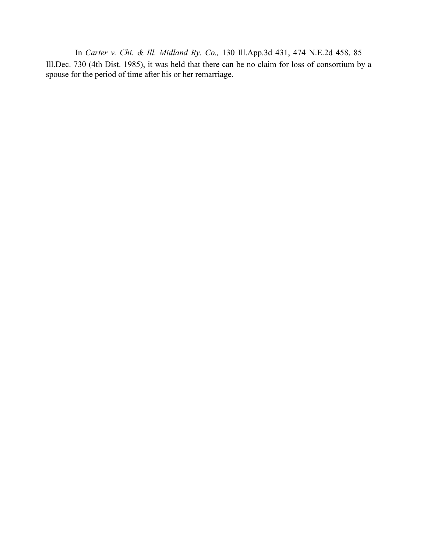In *Carter v. Chi. & Ill. Midland Ry. Co.,* 130 Ill.App.3d 431, 474 N.E.2d 458, 85 Ill.Dec. 730 (4th Dist. 1985), it was held that there can be no claim for loss of consortium by a spouse for the period of time after his or her remarriage.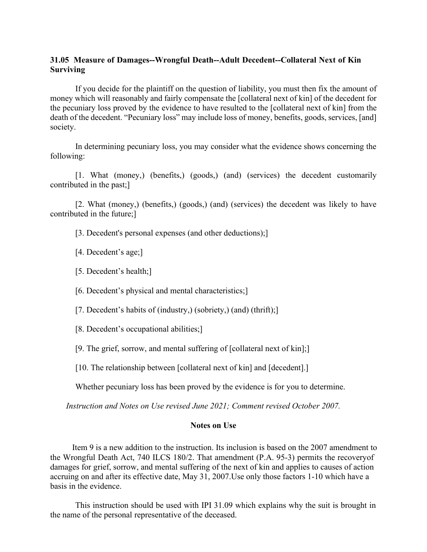# **31.05 Measure of Damages--Wrongful Death--Adult Decedent--Collateral Next of Kin Surviving**

If you decide for the plaintiff on the question of liability, you must then fix the amount of money which will reasonably and fairly compensate the [collateral next of kin] of the decedent for the pecuniary loss proved by the evidence to have resulted to the [collateral next of kin] from the death of the decedent. "Pecuniary loss" may include loss of money, benefits, goods, services, [and] society.

In determining pecuniary loss, you may consider what the evidence shows concerning the following:

[1. What (money,) (benefits,) (goods,) (and) (services) the decedent customarily contributed in the past;]

[2. What (money,) (benefits,) (goods,) (and) (services) the decedent was likely to have contributed in the future;]

[3. Decedent's personal expenses (and other deductions);]

[4. Decedent's age;]

[5. Decedent's health;]

[6. Decedent's physical and mental characteristics;]

[7. Decedent's habits of (industry,) (sobriety,) (and) (thrift);]

[8. Decedent's occupational abilities;]

[9. The grief, sorrow, and mental suffering of [collateral next of kin];]

[10. The relationship between [collateral next of kin] and [decedent].]

Whether pecuniary loss has been proved by the evidence is for you to determine.

*Instruction and Notes on Use revised June 2021; Comment revised October 2007.* 

### **Notes on Use**

Item 9 is a new addition to the instruction. Its inclusion is based on the 2007 amendment to the Wrongful Death Act, 740 ILCS 180/2. That amendment (P.A. 95-3) permits the recoveryof damages for grief, sorrow, and mental suffering of the next of kin and applies to causes of action accruing on and after its effective date, May 31, 2007.Use only those factors 1-10 which have a basis in the evidence.

This instruction should be used with IPI 31.09 which explains why the suit is brought in the name of the personal representative of the deceased.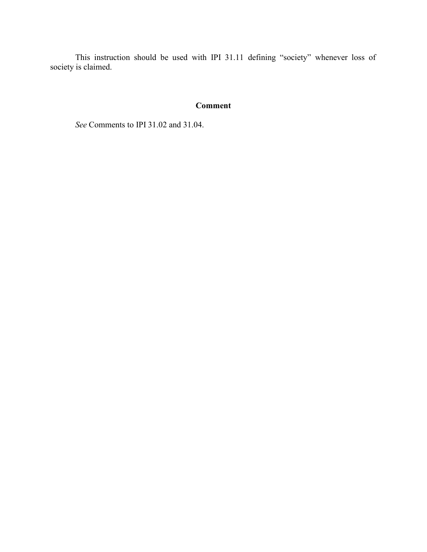This instruction should be used with IPI 31.11 defining "society" whenever loss of society is claimed.

# **Comment**

 $\_$  ,  $\_$  ,  $\_$  ,  $\_$  ,  $\_$  ,  $\_$  ,  $\_$  ,  $\_$  ,  $\_$  ,  $\_$  ,  $\_$  ,  $\_$  ,  $\_$  ,  $\_$  ,  $\_$  ,  $\_$  ,  $\_$  ,  $\_$  ,  $\_$  ,  $\_$  ,  $\_$  ,  $\_$  ,  $\_$  ,  $\_$  ,  $\_$  ,  $\_$  ,  $\_$  ,  $\_$  ,  $\_$  ,  $\_$  ,  $\_$  ,  $\_$  ,  $\_$  ,  $\_$  ,  $\_$  ,  $\_$  ,  $\_$  ,

*See* Comments to IPI 31.02 and 31.04.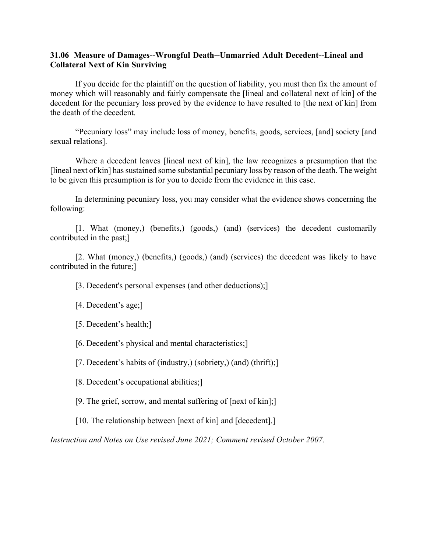## **31.06 Measure of Damages--Wrongful Death--Unmarried Adult Decedent--Lineal and Collateral Next of Kin Surviving**

If you decide for the plaintiff on the question of liability, you must then fix the amount of money which will reasonably and fairly compensate the [lineal and collateral next of kin] of the decedent for the pecuniary loss proved by the evidence to have resulted to [the next of kin] from the death of the decedent.

"Pecuniary loss" may include loss of money, benefits, goods, services, [and] society [and sexual relations].

Where a decedent leaves [lineal next of kin], the law recognizes a presumption that the [lineal next of kin] has sustained some substantial pecuniary loss by reason of the death. The weight to be given this presumption is for you to decide from the evidence in this case.

In determining pecuniary loss, you may consider what the evidence shows concerning the following:

[1. What (money,) (benefits,) (goods,) (and) (services) the decedent customarily contributed in the past;]

[2. What (money,) (benefits,) (goods,) (and) (services) the decedent was likely to have contributed in the future;]

[3. Decedent's personal expenses (and other deductions);]

[4. Decedent's age;]

[5. Decedent's health;]

[6. Decedent's physical and mental characteristics;]

[7. Decedent's habits of (industry,) (sobriety,) (and) (thrift);]

[8. Decedent's occupational abilities;]

[9. The grief, sorrow, and mental suffering of [next of kin];]

[10. The relationship between [next of kin] and [decedent].]

*Instruction and Notes on Use revised June 2021; Comment revised October 2007.*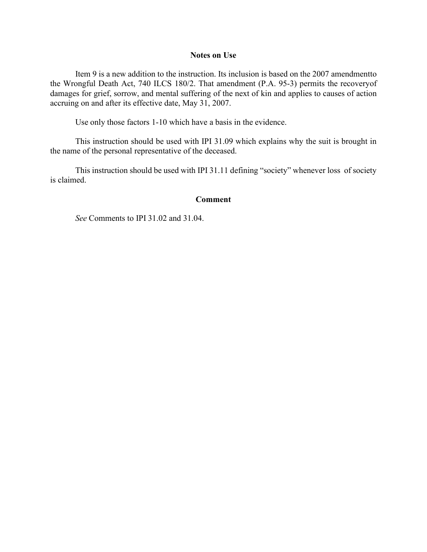### **Notes on Use**

Item 9 is a new addition to the instruction. Its inclusion is based on the 2007 amendmentto the Wrongful Death Act, 740 ILCS 180/2. That amendment (P.A. 95-3) permits the recoveryof damages for grief, sorrow, and mental suffering of the next of kin and applies to causes of action accruing on and after its effective date, May 31, 2007.

Use only those factors 1-10 which have a basis in the evidence.

This instruction should be used with IPI 31.09 which explains why the suit is brought in the name of the personal representative of the deceased.

This instruction should be used with IPI 31.11 defining "society" whenever loss of society is claimed.

### **Comment**

 $\_$  ,  $\_$  ,  $\_$  ,  $\_$  ,  $\_$  ,  $\_$  ,  $\_$  ,  $\_$  ,  $\_$  ,  $\_$  ,  $\_$  ,  $\_$  ,  $\_$  ,  $\_$  ,  $\_$  ,  $\_$  ,  $\_$  ,  $\_$  ,  $\_$  ,  $\_$  ,  $\_$  ,  $\_$  ,  $\_$  ,  $\_$  ,  $\_$  ,  $\_$  ,  $\_$  ,  $\_$  ,  $\_$  ,  $\_$  ,  $\_$  ,  $\_$  ,  $\_$  ,  $\_$  ,  $\_$  ,  $\_$  ,  $\_$  ,

*See* Comments to IPI 31.02 and 31.04.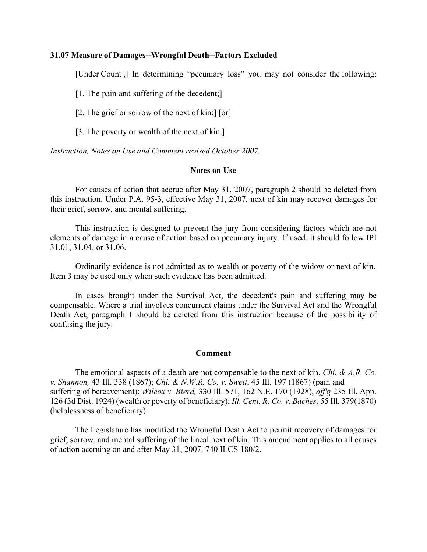### **31.07 Measure of Damages--Wrongful Death--Factors Excluded**

[Under Count<sub>,</sub>] In determining "pecuniary loss" you may not consider the following:

[1. The pain and suffering of the decedent;]

[2. The grief or sorrow of the next of kin;] [or]

[3. The poverty or wealth of the next of kin.]

*Instruction, Notes on Use and Comment revised October 2007.* 

### **Notes on Use**

For causes of action that accrue after May 31, 2007, paragraph 2 should be deleted from this instruction. Under P.A. 95-3, effective May 31, 2007, next of kin may recover damages for their grief, sorrow, and mental suffering.

This instruction is designed to prevent the jury from considering factors which are not elements of damage in a cause of action based on pecuniary injury. If used, it should follow IPI 31.01, 31.04, or 31.06.

Ordinarily evidence is not admitted as to wealth or poverty of the widow or next of kin. Item 3 may be used only when such evidence has been admitted.

In cases brought under the Survival Act, the decedent's pain and suffering may be compensable. Where a trial involves concurrent claims under the Survival Act and the Wrongful Death Act, paragraph 1 should be deleted from this instruction because of the possibility of confusing the jury.

### **Comment**

The emotional aspects of a death are not compensable to the next of kin. *Chi. & A.R. Co. v. Shannon,* 43 Ill. 338 (1867); *Chi. & N.W.R. Co. v. Swett*, 45 Ill. 197 (1867) (pain and suffering of bereavement); *Wilcox v. Bierd,* 330 Ill. 571, 162 N.E. 170 (1928), *aff'g* 235 Ill. App. 126 (3d Dist. 1924) (wealth or poverty of beneficiary); *Ill. Cent. R. Co. v. Baches,* 55 Ill. 379 (1870) (helplessness of beneficiary).

The Legislature has modified the Wrongful Death Act to permit recovery of damages for grief, sorrow, and mental suffering of the lineal next of kin. This amendment applies to all causes of action accruing on and after May 31, 2007. 740 ILCS 180/2.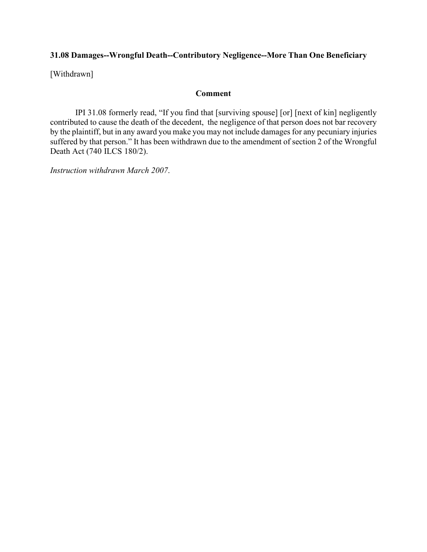# **31.08 Damages--Wrongful Death--Contributory Negligence--More Than One Beneficiary**

[Withdrawn]

## **Comment**

IPI 31.08 formerly read, "If you find that [surviving spouse] [or] [next of kin] negligently contributed to cause the death of the decedent, the negligence of that person does not bar recovery by the plaintiff, but in any award you make you may not include damages for any pecuniary injuries suffered by that person." It has been withdrawn due to the amendment of section 2 of the Wrongful Death Act (740 ILCS 180/2).

 $\_$  ,  $\_$  ,  $\_$  ,  $\_$  ,  $\_$  ,  $\_$  ,  $\_$  ,  $\_$  ,  $\_$  ,  $\_$  ,  $\_$  ,  $\_$  ,  $\_$  ,  $\_$  ,  $\_$  ,  $\_$  ,  $\_$  ,  $\_$  ,  $\_$  ,  $\_$  ,  $\_$  ,  $\_$  ,  $\_$  ,  $\_$  ,  $\_$  ,  $\_$  ,  $\_$  ,  $\_$  ,  $\_$  ,  $\_$  ,  $\_$  ,  $\_$  ,  $\_$  ,  $\_$  ,  $\_$  ,  $\_$  ,  $\_$  ,

*Instruction withdrawn March 2007*.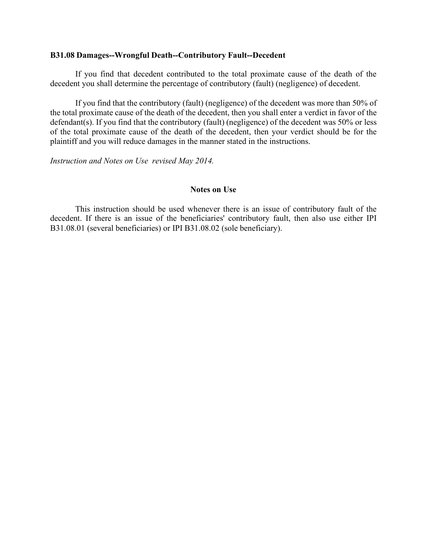### **B31.08 Damages--Wrongful Death--Contributory Fault--Decedent**

If you find that decedent contributed to the total proximate cause of the death of the decedent you shall determine the percentage of contributory (fault) (negligence) of decedent.

If you find that the contributory (fault) (negligence) of the decedent was more than 50% of the total proximate cause of the death of the decedent, then you shall enter a verdict in favor of the defendant(s). If you find that the contributory (fault) (negligence) of the decedent was 50% or less of the total proximate cause of the death of the decedent, then your verdict should be for the plaintiff and you will reduce damages in the manner stated in the instructions.

*Instruction and Notes on Use revised May 2014.* 

### **Notes on Use**

This instruction should be used whenever there is an issue of contributory fault of the decedent. If there is an issue of the beneficiaries' contributory fault, then also use either IPI B31.08.01 (several beneficiaries) or IPI B31.08.02 (sole beneficiary).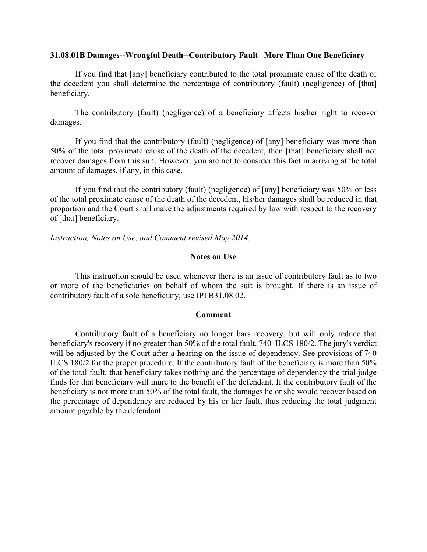### **31.08.01B Damages--Wrongful Death--Contributory Fault –More Than One Beneficiary**

If you find that [any] beneficiary contributed to the total proximate cause of the death of the decedent you shall determine the percentage of contributory (fault) (negligence) of [that] beneficiary.

The contributory (fault) (negligence) of a beneficiary affects his/her right to recover damages.

If you find that the contributory (fault) (negligence) of [any] beneficiary was more than 50% of the total proximate cause of the death of the decedent, then [that] beneficiary shall not recover damages from this suit. However, you are not to consider this fact in arriving at the total amount of damages, if any, in this case.

If you find that the contributory (fault) (negligence) of [any] beneficiary was 50% or less of the total proximate cause of the death of the decedent, his/her damages shall be reduced in that proportion and the Court shall make the adjustments required by law with respect to the recovery of [that] beneficiary.

*Instruction, Notes on Use, and Comment revised May 2014.* 

### **Notes on Use**

This instruction should be used whenever there is an issue of contributory fault as to two or more of the beneficiaries on behalf of whom the suit is brought. If there is an issue of contributory fault of a sole beneficiary, use IPI B31.08.02.

### **Comment**

Contributory fault of a beneficiary no longer bars recovery, but will only reduce that beneficiary's recovery if no greater than 50% of the total fault. 740 ILCS 180/2. The jury's verdict will be adjusted by the Court after a hearing on the issue of dependency. See provisions of 740 ILCS 180/2 for the proper procedure. If the contributory fault of the beneficiary is more than 50% of the total fault, that beneficiary takes nothing and the percentage of dependency the trial judge finds for that beneficiary will inure to the benefit of the defendant. If the contributory fault of the beneficiary is not more than 50% of the total fault, the damages he or she would recover based on the percentage of dependency are reduced by his or her fault, thus reducing the total judgment amount payable by the defendant.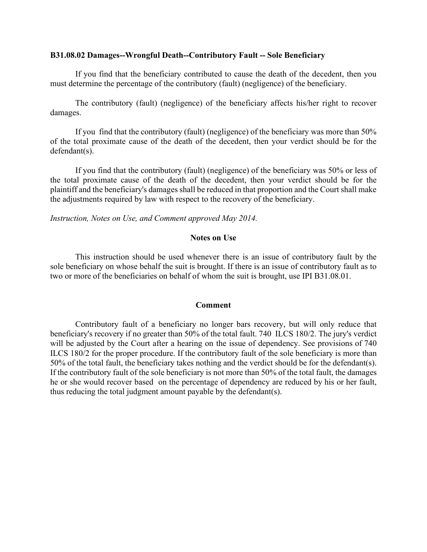### **B31.08.02 Damages--Wrongful Death--Contributory Fault -- Sole Beneficiary**

If you find that the beneficiary contributed to cause the death of the decedent, then you must determine the percentage of the contributory (fault) (negligence) of the beneficiary.

The contributory (fault) (negligence) of the beneficiary affects his/her right to recover damages.

If you find that the contributory (fault) (negligence) of the beneficiary was more than 50% of the total proximate cause of the death of the decedent, then your verdict should be for the defendant(s).

If you find that the contributory (fault) (negligence) of the beneficiary was 50% or less of the total proximate cause of the death of the decedent, then your verdict should be for the plaintiff and the beneficiary's damages shall be reduced in that proportion and the Court shall make the adjustments required by law with respect to the recovery of the beneficiary.

*Instruction, Notes on Use, and Comment approved May 2014.* 

### **Notes on Use**

This instruction should be used whenever there is an issue of contributory fault by the sole beneficiary on whose behalf the suit is brought. If there is an issue of contributory fault as to two or more of the beneficiaries on behalf of whom the suit is brought, use IPI B31.08.01.

### **Comment**

Contributory fault of a beneficiary no longer bars recovery, but will only reduce that beneficiary's recovery if no greater than 50% of the total fault. 740 ILCS 180/2. The jury's verdict will be adjusted by the Court after a hearing on the issue of dependency. See provisions of 740 ILCS 180/2 for the proper procedure. If the contributory fault of the sole beneficiary is more than 50% of the total fault, the beneficiary takes nothing and the verdict should be for the defendant(s). If the contributory fault of the sole beneficiary is not more than 50% of the total fault, the damages he or she would recover based on the percentage of dependency are reduced by his or her fault, thus reducing the total judgment amount payable by the defendant(s).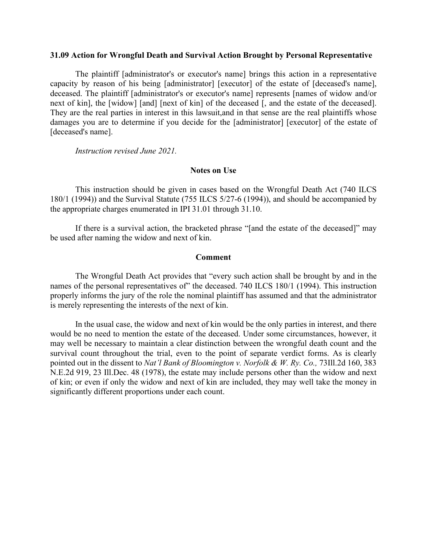#### **31.09 Action for Wrongful Death and Survival Action Brought by Personal Representative**

The plaintiff [administrator's or executor's name] brings this action in a representative capacity by reason of his being [administrator] [executor] of the estate of [deceased's name], deceased. The plaintiff [administrator's or executor's name] represents [names of widow and/or next of kin], the [widow] [and] [next of kin] of the deceased [, and the estate of the deceased]. They are the real parties in interest in this lawsuit,and in that sense are the real plaintiffs whose damages you are to determine if you decide for the [administrator] [executor] of the estate of [deceased's name].

*Instruction revised June 2021.*

### **Notes on Use**

This instruction should be given in cases based on the Wrongful Death Act (740 ILCS 180/1 (1994)) and the Survival Statute (755 ILCS 5/27-6 (1994)), and should be accompanied by the appropriate charges enumerated in IPI 31.01 through 31.10.

If there is a survival action, the bracketed phrase "[and the estate of the deceased]" may be used after naming the widow and next of kin.

### **Comment**

The Wrongful Death Act provides that "every such action shall be brought by and in the names of the personal representatives of" the deceased. 740 ILCS 180/1 (1994). This instruction properly informs the jury of the role the nominal plaintiff has assumed and that the administrator is merely representing the interests of the next of kin.

In the usual case, the widow and next of kin would be the only parties in interest, and there would be no need to mention the estate of the deceased. Under some circumstances, however, it may well be necessary to maintain a clear distinction between the wrongful death count and the survival count throughout the trial, even to the point of separate verdict forms. As is clearly pointed out in the dissent to *Nat'l Bank of Bloomington v. Norfolk & W. Ry. Co., 73* Ill.2d 160, 383 N.E.2d 919, 23 Ill.Dec. 48 (1978), the estate may include persons other than the widow and next of kin; or even if only the widow and next of kin are included, they may well take the money in significantly different proportions under each count.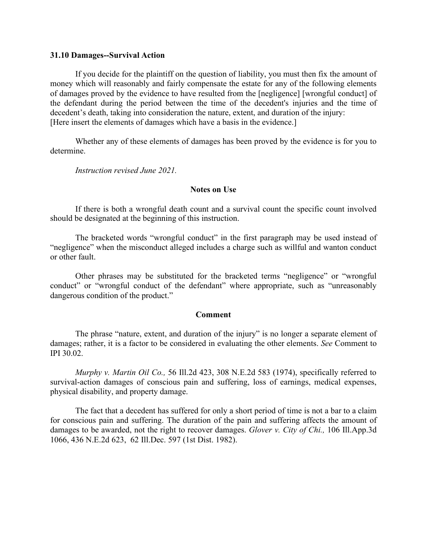#### **31.10 Damages--Survival Action**

If you decide for the plaintiff on the question of liability, you must then fix the amount of money which will reasonably and fairly compensate the estate for any of the following elements of damages proved by the evidence to have resulted from the [negligence] [wrongful conduct] of the defendant during the period between the time of the decedent's injuries and the time of decedent's death, taking into consideration the nature, extent, and duration of the injury: [Here insert the elements of damages which have a basis in the evidence.]

Whether any of these elements of damages has been proved by the evidence is for you to determine.

*Instruction revised June 2021.* 

### **Notes on Use**

If there is both a wrongful death count and a survival count the specific count involved should be designated at the beginning of this instruction.

The bracketed words "wrongful conduct" in the first paragraph may be used instead of "negligence" when the misconduct alleged includes a charge such as willful and wanton conduct or other fault.

Other phrases may be substituted for the bracketed terms "negligence" or "wrongful conduct" or "wrongful conduct of the defendant" where appropriate, such as "unreasonably dangerous condition of the product."

### **Comment**

The phrase "nature, extent, and duration of the injury" is no longer a separate element of damages; rather, it is a factor to be considered in evaluating the other elements. *See* Comment to IPI 30.02.

*Murphy v. Martin Oil Co.,* 56 Ill.2d 423, 308 N.E.2d 583 (1974), specifically referred to survival-action damages of conscious pain and suffering, loss of earnings, medical expenses, physical disability, and property damage.

The fact that a decedent has suffered for only a short period of time is not a bar to a claim for conscious pain and suffering. The duration of the pain and suffering affects the amount of damages to be awarded, not the right to recover damages. *Glover v. City of Chi.,* 106 Ill.App.3d 1066, 436 N.E.2d 623, 62 Ill.Dec. 597 (1st Dist. 1982).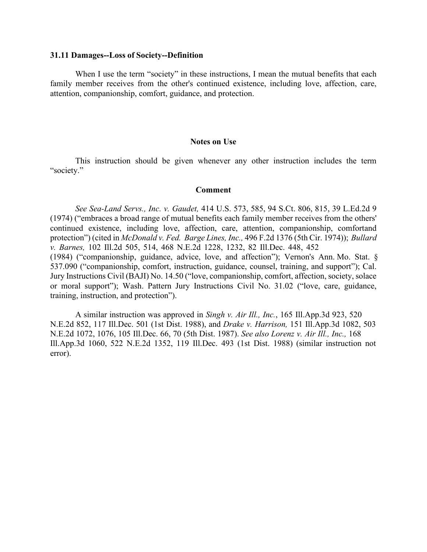#### **31.11 Damages--Loss of Society--Definition**

When I use the term "society" in these instructions, I mean the mutual benefits that each family member receives from the other's continued existence, including love, affection, care, attention, companionship, comfort, guidance, and protection.

#### **Notes on Use**

This instruction should be given whenever any other instruction includes the term "society."

#### **Comment**

*See Sea-Land Servs., Inc. v. Gaudet,* 414 U.S. 573, 585, 94 S.Ct. 806, 815, 39 L.Ed.2d 9 (1974) ("embraces a broad range of mutual benefits each family member receives from the others' continued existence, including love, affection, care, attention, companionship, comfortand protection") (cited in *McDonald v. Fed. Barge Lines, Inc.,* 496 F.2d 1376 (5th Cir. 1974)); *Bullard v. Barnes,* 102 Ill.2d 505, 514, 468 N.E.2d 1228, 1232, 82 Ill.Dec. 448, 452 (1984) ("companionship, guidance, advice, love, and affection"); Vernon's Ann. Mo. Stat. § 537.090 ("companionship, comfort, instruction, guidance, counsel, training, and support"); Cal. Jury Instructions Civil (BAJI) No. 14.50 ("love, companionship, comfort, affection, society, solace or moral support"); Wash. Pattern Jury Instructions Civil No. 31.02 ("love, care, guidance, training, instruction, and protection").

A similar instruction was approved in *Singh v. Air Ill., Inc.*, 165 Ill.App.3d 923, 520 N.E.2d 852, 117 Ill.Dec. 501 (1st Dist. 1988), and *Drake v. Harrison,* 151 Ill.App.3d 1082, 503 N.E.2d 1072, 1076, 105 Ill.Dec. 66, 70 (5th Dist. 1987). *See also Lorenz v. Air Ill., Inc.,* 168 Ill.App.3d 1060, 522 N.E.2d 1352, 119 Ill.Dec. 493 (1st Dist. 1988) (similar instruction not error).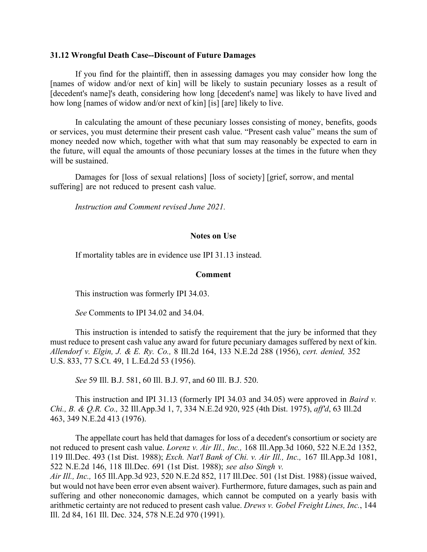### **31.12 Wrongful Death Case--Discount of Future Damages**

If you find for the plaintiff, then in assessing damages you may consider how long the [names of widow and/or next of kin] will be likely to sustain pecuniary losses as a result of [decedent's name]'s death, considering how long [decedent's name] was likely to have lived and how long [names of widow and/or next of kin] [is] [are] likely to live.

In calculating the amount of these pecuniary losses consisting of money, benefits, goods or services, you must determine their present cash value. "Present cash value" means the sum of money needed now which, together with what that sum may reasonably be expected to earn in the future, will equal the amounts of those pecuniary losses at the times in the future when they will be sustained.

Damages for [loss of sexual relations] [loss of society] [grief, sorrow, and mental suffering] are not reduced to present cash value.

*Instruction and Comment revised June 2021.* 

### **Notes on Use**

If mortality tables are in evidence use IPI 31.13 instead.

### **Comment**

This instruction was formerly IPI 34.03.

*See* Comments to IPI 34.02 and 34.04.

This instruction is intended to satisfy the requirement that the jury be informed that they must reduce to present cash value any award for future pecuniary damages suffered by next of kin. *Allendorf v. Elgin, J. & E. Ry. Co.,* 8 Ill.2d 164, 133 N.E.2d 288 (1956), *cert. denied,* 352 U.S. 833, 77 S.Ct. 49, 1 L.Ed.2d 53 (1956).

*See* 59 Ill. B.J. 581, 60 Ill. B.J. 97, and 60 Ill. B.J. 520.

This instruction and IPI 31.13 (formerly IPI 34.03 and 34.05) were approved in *Baird v. Chi., B. & Q.R. Co.,* 32 Ill.App.3d 1, 7, 334 N.E.2d 920, 925 (4th Dist. 1975), *aff'd*, 63 Ill.2d 463, 349 N.E.2d 413 (1976).

The appellate court has held that damages for loss of a decedent's consortium or society are not reduced to present cash value. *Lorenz v. Air Ill., Inc.,* 168 Ill.App.3d 1060, 522 N.E.2d 1352, 119 Ill.Dec. 493 (1st Dist. 1988); *Exch. Nat'l Bank of Chi. v. Air Ill., Inc.,* 167 Ill.App.3d 1081, 522 N.E.2d 146, 118 Ill.Dec. 691 (1st Dist. 1988); *see also Singh v.*

*Air Ill., Inc.,* 165 Ill.App.3d 923, 520 N.E.2d 852, 117 Ill.Dec. 501 (1st Dist. 1988) (issue waived, but would not have been error even absent waiver). Furthermore, future damages, such as pain and suffering and other noneconomic damages, which cannot be computed on a yearly basis with arithmetic certainty are not reduced to present cash value. *Drews v. Gobel Freight Lines, Inc.*, 144 Ill. 2d 84, 161 Ill. Dec. 324, 578 N.E.2d 970 (1991).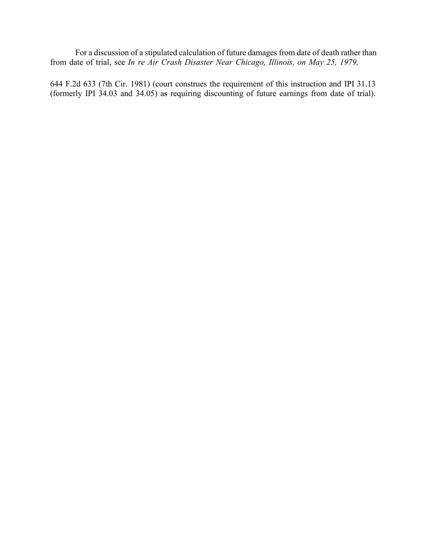For a discussion of a stipulated calculation of future damages from date of death rather than from date of trial, see *In re Air Crash Disaster Near Chicago, Illinois, on May 25, 1979,* 

644 F.2d 633 (7th Cir. 1981) (court construes the requirement of this instruction and IPI 31.13 (formerly IPI 34.03 and 34.05) as requiring discounting of future earnings from date of trial).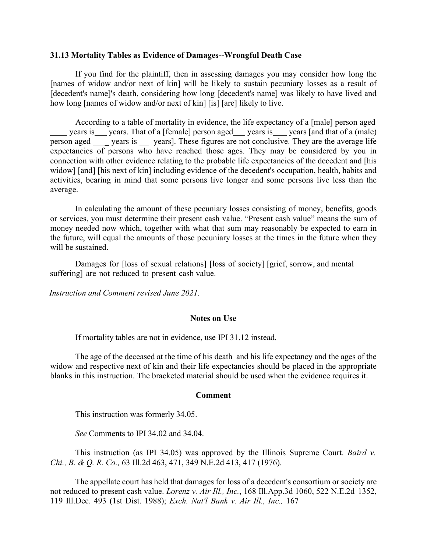### **31.13 Mortality Tables as Evidence of Damages--Wrongful Death Case**

If you find for the plaintiff, then in assessing damages you may consider how long the [names of widow and/or next of kin] will be likely to sustain pecuniary losses as a result of [decedent's name]'s death, considering how long [decedent's name] was likely to have lived and how long [names of widow and/or next of kin] [is] [are] likely to live.

According to a table of mortality in evidence, the life expectancy of a [male] person aged years is years. That of a [female] person aged years is years [and that of a (male) person aged \_\_\_ years is \_\_ years]. These figures are not conclusive. They are the average life expectancies of persons who have reached those ages. They may be considered by you in connection with other evidence relating to the probable life expectancies of the decedent and [his widow] [and] [his next of kin] including evidence of the decedent's occupation, health, habits and activities, bearing in mind that some persons live longer and some persons live less than the average.

In calculating the amount of these pecuniary losses consisting of money, benefits, goods or services, you must determine their present cash value. "Present cash value" means the sum of money needed now which, together with what that sum may reasonably be expected to earn in the future, will equal the amounts of those pecuniary losses at the times in the future when they will be sustained.

Damages for [loss of sexual relations] [loss of society] [grief, sorrow, and mental suffering] are not reduced to present cash value.

*Instruction and Comment revised June 2021.* 

### **Notes on Use**

If mortality tables are not in evidence, use IPI 31.12 instead.

The age of the deceased at the time of his death and his life expectancy and the ages of the widow and respective next of kin and their life expectancies should be placed in the appropriate blanks in this instruction. The bracketed material should be used when the evidence requires it.

### **Comment**

This instruction was formerly 34.05.

*See* Comments to IPI 34.02 and 34.04.

This instruction (as IPI 34.05) was approved by the Illinois Supreme Court. *Baird v. Chi., B. & Q. R. Co.,* 63 Ill.2d 463, 471, 349 N.E.2d 413, 417 (1976).

The appellate court has held that damages for loss of a decedent's consortium or society are not reduced to present cash value. *Lorenz v. Air Ill., Inc.*, 168 Ill.App.3d 1060, 522 N.E.2d 1352, 119 Ill.Dec. 493 (1st Dist. 1988); *Exch. Nat'l Bank v. Air Ill., Inc.,* 167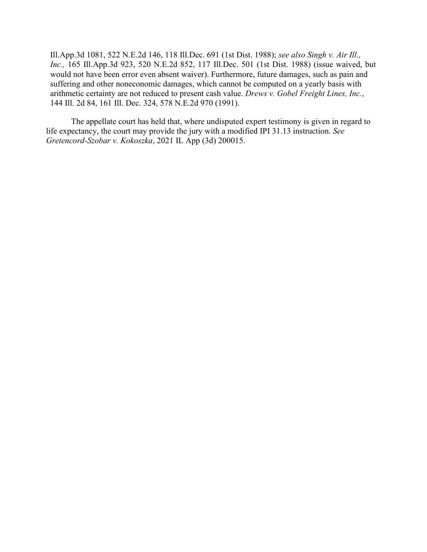Ill.App.3d 1081, 522 N.E.2d 146, 118 Ill.Dec. 691 (1st Dist. 1988); *see also Singh v. Air Ill., Inc.,* 165 Ill.App.3d 923, 520 N.E.2d 852, 117 Ill.Dec. 501 (1st Dist. 1988) (issue waived, but would not have been error even absent waiver). Furthermore, future damages, such as pain and suffering and other noneconomic damages, which cannot be computed on a yearly basis with arithmetic certainty are not reduced to present cash value. *Drews v. Gobel Freight Lines, Inc.*, 144 Ill. 2d 84, 161 Ill. Dec. 324, 578 N.E.2d 970 (1991).

The appellate court has held that, where undisputed expert testimony is given in regard to life expectancy, the court may provide the jury with a modified IPI 31.13 instruction. *See Gretencord-Szobar v. Kokoszka*, 2021 IL App (3d) 200015.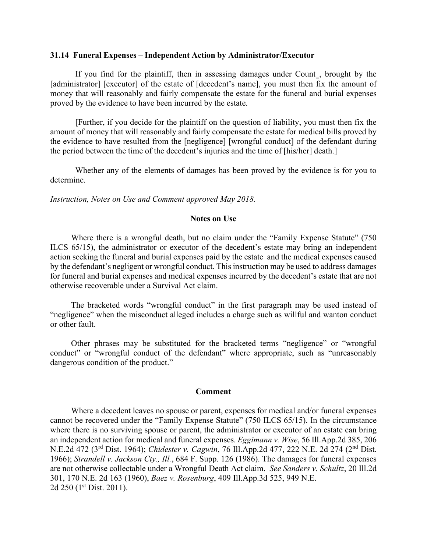### **31.14 Funeral Expenses – Independent Action by Administrator/Executor**

If you find for the plaintiff, then in assessing damages under Count , brought by the [administrator] [executor] of the estate of [decedent's name], you must then fix the amount of money that will reasonably and fairly compensate the estate for the funeral and burial expenses proved by the evidence to have been incurred by the estate.

[Further, if you decide for the plaintiff on the question of liability, you must then fix the amount of money that will reasonably and fairly compensate the estate for medical bills proved by the evidence to have resulted from the [negligence] [wrongful conduct] of the defendant during the period between the time of the decedent's injuries and the time of [his/her] death.]

Whether any of the elements of damages has been proved by the evidence is for you to determine.

*Instruction, Notes on Use and Comment approved May 2018.* 

### **Notes on Use**

Where there is a wrongful death, but no claim under the "Family Expense Statute" (750 ILCS 65/15), the administrator or executor of the decedent's estate may bring an independent action seeking the funeral and burial expenses paid by the estate and the medical expenses caused by the defendant's negligent or wrongful conduct. This instruction may be used to address damages for funeral and burial expenses and medical expenses incurred by the decedent's estate that are not otherwise recoverable under a Survival Act claim.

The bracketed words "wrongful conduct" in the first paragraph may be used instead of "negligence" when the misconduct alleged includes a charge such as willful and wanton conduct or other fault.

Other phrases may be substituted for the bracketed terms "negligence" or "wrongful conduct" or "wrongful conduct of the defendant" where appropriate, such as "unreasonably dangerous condition of the product."

#### **Comment**

Where a decedent leaves no spouse or parent, expenses for medical and/or funeral expenses cannot be recovered under the "Family Expense Statute" (750 ILCS 65/15). In the circumstance where there is no surviving spouse or parent, the administrator or executor of an estate can bring an independent action for medical and funeral expenses. *Eggimann v. Wise*, 56 Ill.App.2d 385, 206 N.E.2d 472 (3rd Dist. 1964); *Chidester v. Cagwin*, 76 Ill.App.2d 477, 222 N.E. 2d 274 (2nd Dist. 1966); *Strandell v. Jackson Cty., Ill.*, 684 F. Supp. 126 (1986). The damages for funeral expenses are not otherwise collectable under a Wrongful Death Act claim. *See Sanders v. Schultz*, 20 Ill.2d 301, 170 N.E. 2d 163 (1960), *Baez v. Rosenburg*, 409 Ill.App.3d 525, 949 N.E. 2d 250 (1<sup>st</sup> Dist. 2011).